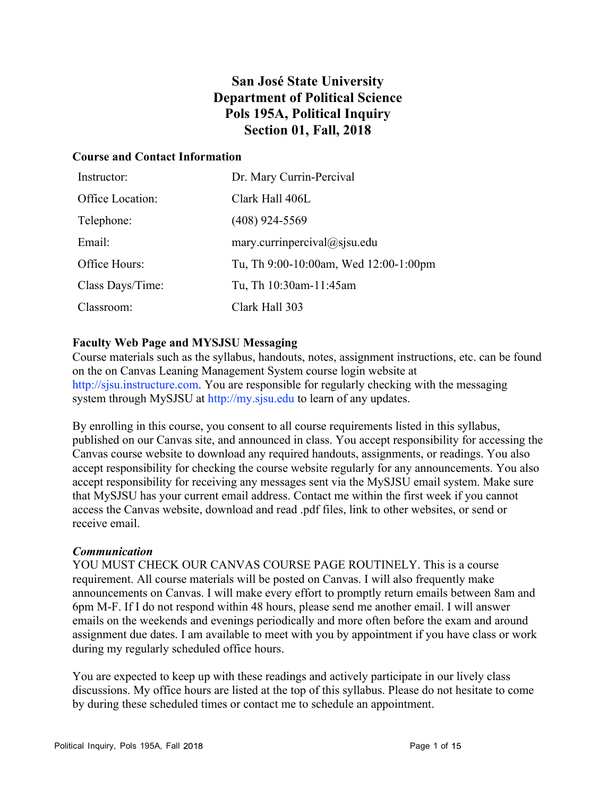# **San José State University Department of Political Science Pols 195A, Political Inquiry Section 01, Fall, 2018**

### **Course and Contact Information**

| Instructor:      | Dr. Mary Currin-Percival              |
|------------------|---------------------------------------|
| Office Location: | Clark Hall 406L                       |
| Telephone:       | $(408)$ 924-5569                      |
| Email:           | mary.currinpercival $@$ sjsu.edu      |
| Office Hours:    | Tu, Th 9:00-10:00am, Wed 12:00-1:00pm |
| Class Days/Time: | Tu, Th 10:30am-11:45am                |
| Classroom:       | Clark Hall 303                        |

### **Faculty Web Page and MYSJSU Messaging**

Course materials such as the syllabus, handouts, notes, assignment instructions, etc. can be found on the on Canvas Leaning Management System course login website at http://sjsu.instructure.com. You are responsible for regularly checking with the messaging system through MySJSU at http://my.sjsu.edu to learn of any updates.

By enrolling in this course, you consent to all course requirements listed in this syllabus, published on our Canvas site, and announced in class. You accept responsibility for accessing the Canvas course website to download any required handouts, assignments, or readings. You also accept responsibility for checking the course website regularly for any announcements. You also accept responsibility for receiving any messages sent via the MySJSU email system. Make sure that MySJSU has your current email address. Contact me within the first week if you cannot access the Canvas website, download and read .pdf files, link to other websites, or send or receive email.

### *Communication*

YOU MUST CHECK OUR CANVAS COURSE PAGE ROUTINELY. This is a course requirement. All course materials will be posted on Canvas. I will also frequently make announcements on Canvas. I will make every effort to promptly return emails between 8am and 6pm M-F. If I do not respond within 48 hours, please send me another email. I will answer emails on the weekends and evenings periodically and more often before the exam and around assignment due dates. I am available to meet with you by appointment if you have class or work during my regularly scheduled office hours.

You are expected to keep up with these readings and actively participate in our lively class discussions. My office hours are listed at the top of this syllabus. Please do not hesitate to come by during these scheduled times or contact me to schedule an appointment.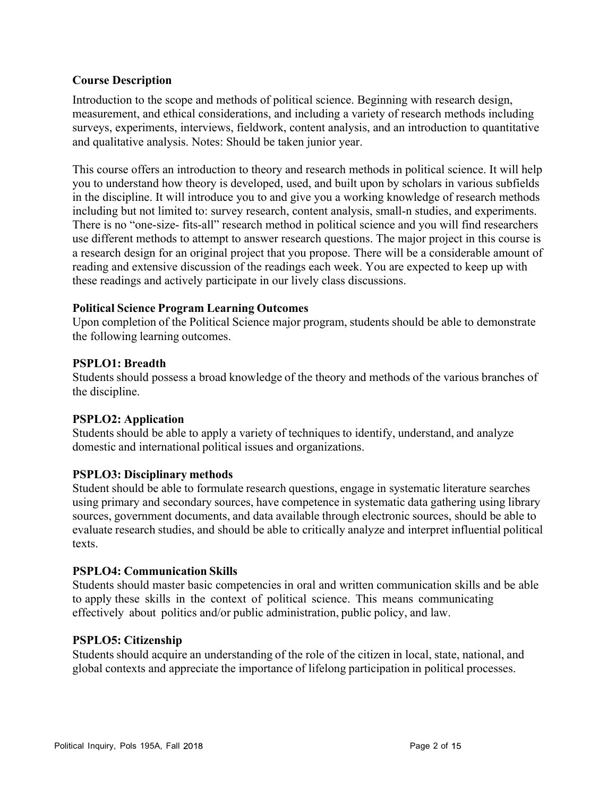### **Course Description**

Introduction to the scope and methods of political science. Beginning with research design, measurement, and ethical considerations, and including a variety of research methods including surveys, experiments, interviews, fieldwork, content analysis, and an introduction to quantitative and qualitative analysis. Notes: Should be taken junior year.

This course offers an introduction to theory and research methods in political science. It will help you to understand how theory is developed, used, and built upon by scholars in various subfields in the discipline. It will introduce you to and give you a working knowledge of research methods including but not limited to: survey research, content analysis, small-n studies, and experiments. There is no "one-size- fits-all" research method in political science and you will find researchers use different methods to attempt to answer research questions. The major project in this course is a research design for an original project that you propose. There will be a considerable amount of reading and extensive discussion of the readings each week. You are expected to keep up with these readings and actively participate in our lively class discussions.

### **Political Science Program Learning Outcomes**

Upon completion of the Political Science major program, students should be able to demonstrate the following learning outcomes.

### **PSPLO1: Breadth**

Students should possess a broad knowledge of the theory and methods of the various branches of the discipline.

### **PSPLO2: Application**

Students should be able to apply a variety of techniques to identify, understand, and analyze domestic and international political issues and organizations.

### **PSPLO3: Disciplinary methods**

Student should be able to formulate research questions, engage in systematic literature searches using primary and secondary sources, have competence in systematic data gathering using library sources, government documents, and data available through electronic sources, should be able to evaluate research studies, and should be able to critically analyze and interpret influential political texts.

### **PSPLO4: Communication Skills**

Students should master basic competencies in oral and written communication skills and be able to apply these skills in the context of political science. This means communicating effectively about politics and/or public administration, public policy, and law.

### **PSPLO5: Citizenship**

Students should acquire an understanding of the role of the citizen in local, state, national, and global contexts and appreciate the importance of lifelong participation in political processes.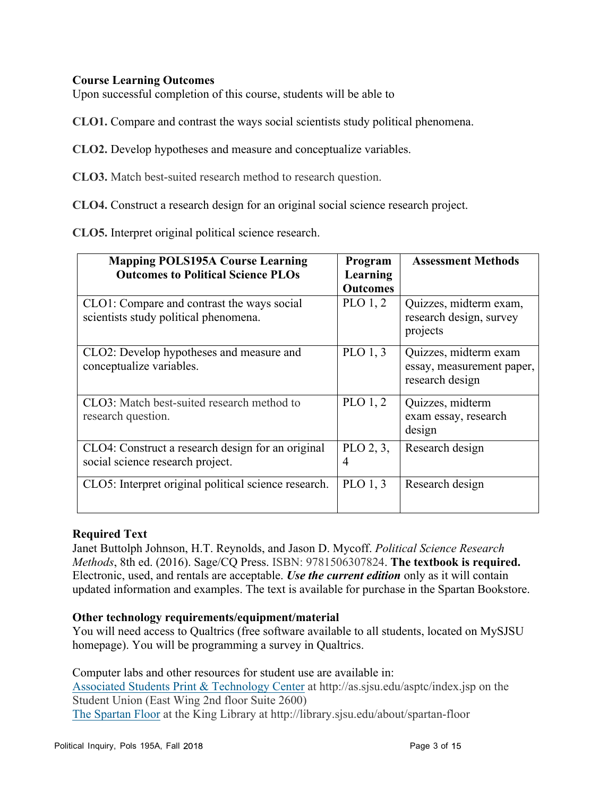### **Course Learning Outcomes**

Upon successful completion of this course, students will be able to

**CLO1.** Compare and contrast the ways social scientists study political phenomena.

**CLO2.** Develop hypotheses and measure and conceptualize variables.

**CLO3.** Match best-suited research method to research question.

**CLO4.** Construct a research design for an original social science research project.

**CLO5.** Interpret original political science research.

| <b>Mapping POLS195A Course Learning</b>                                               | Program                     | <b>Assessment Methods</b>                                             |
|---------------------------------------------------------------------------------------|-----------------------------|-----------------------------------------------------------------------|
| <b>Outcomes to Political Science PLOs</b>                                             | Learning<br><b>Outcomes</b> |                                                                       |
| CLO1: Compare and contrast the ways social<br>scientists study political phenomena.   | PLO $1, 2$                  | Quizzes, midterm exam,<br>research design, survey<br>projects         |
| CLO2: Develop hypotheses and measure and<br>conceptualize variables.                  | PLO $1, 3$                  | Quizzes, midterm exam<br>essay, measurement paper,<br>research design |
| CLO3: Match best-suited research method to<br>research question.                      | PLO $1, 2$                  | Quizzes, midterm<br>exam essay, research<br>design                    |
| CLO4: Construct a research design for an original<br>social science research project. | PLO $2, 3$ ,<br>4           | Research design                                                       |
| CLO5: Interpret original political science research.                                  | PLO $1, 3$                  | Research design                                                       |

### **Required Text**

Janet Buttolph Johnson, H.T. Reynolds, and Jason D. Mycoff. *Political Science Research Methods*, 8th ed. (2016). Sage/CQ Press. ISBN: 9781506307824. **The textbook is required.** Electronic, used, and rentals are acceptable. *Use the current edition* only as it will contain updated information and examples. The text is available for purchase in the Spartan Bookstore.

### **Other technology requirements/equipment/material**

You will need access to Qualtrics (free software available to all students, located on MySJSU homepage). You will be programming a survey in Qualtrics.

Computer labs and other resources for student use are available in: Associated Students Print & Technology Center at http://as.sjsu.edu/asptc/index.jsp on the Student Union (East Wing 2nd floor Suite 2600)

The Spartan Floor at the King Library at http://library.sjsu.edu/about/spartan-floor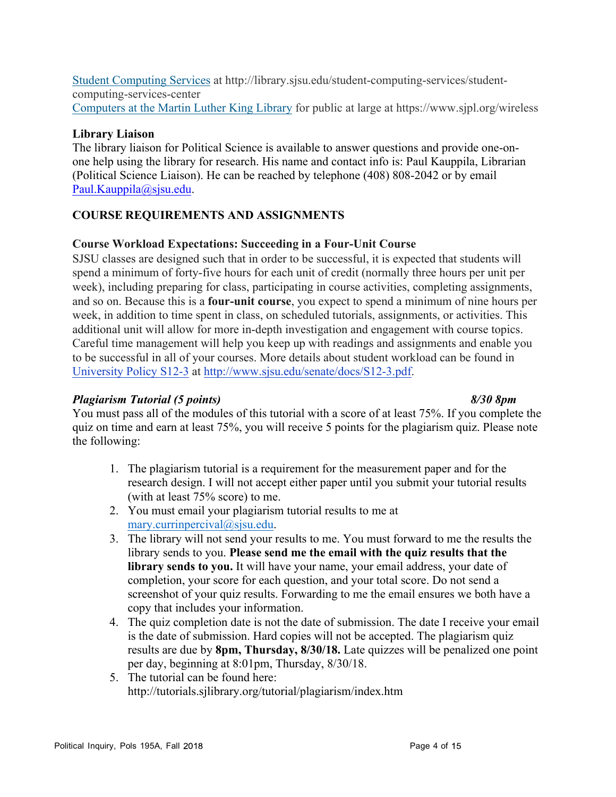Student Computing Services at http://library.sjsu.edu/student-computing-services/studentcomputing-services-center Computers at the Martin Luther King Library for public at large at https://www.sjpl.org/wireless

### **Library Liaison**

The library liaison for Political Science is available to answer questions and provide one-onone help using the library for research. His name and contact info is: Paul Kauppila, Librarian (Political Science Liaison). He can be reached by telephone (408) 808-2042 or by email Paul.Kauppila@sjsu.edu.

### **COURSE REQUIREMENTS AND ASSIGNMENTS**

### **Course Workload Expectations: Succeeding in a Four-Unit Course**

SJSU classes are designed such that in order to be successful, it is expected that students will spend a minimum of forty-five hours for each unit of credit (normally three hours per unit per week), including preparing for class, participating in course activities, completing assignments, and so on. Because this is a **four-unit course**, you expect to spend a minimum of nine hours per week, in addition to time spent in class, on scheduled tutorials, assignments, or activities. This additional unit will allow for more in-depth investigation and engagement with course topics. Careful time management will help you keep up with readings and assignments and enable you to be successful in all of your courses. More details about student workload can be found in University Policy S12-3 at http://www.sjsu.edu/senate/docs/S12-3.pdf.

### *Plagiarism Tutorial (5 points) 8/30 8pm*

You must pass all of the modules of this tutorial with a score of at least 75%. If you complete the quiz on time and earn at least 75%, you will receive 5 points for the plagiarism quiz. Please note the following:

- 1. The plagiarism tutorial is a requirement for the measurement paper and for the research design. I will not accept either paper until you submit your tutorial results (with at least 75% score) to me.
- 2. You must email your plagiarism tutorial results to me at mary.currinpercival@sjsu.edu.
- 3. The library will not send your results to me. You must forward to me the results the library sends to you. **Please send me the email with the quiz results that the library sends to you.** It will have your name, your email address, your date of completion, your score for each question, and your total score. Do not send a screenshot of your quiz results. Forwarding to me the email ensures we both have a copy that includes your information.
- 4. The quiz completion date is not the date of submission. The date I receive your email is the date of submission. Hard copies will not be accepted. The plagiarism quiz results are due by **8pm, Thursday, 8/30/18.** Late quizzes will be penalized one point per day, beginning at 8:01pm, Thursday, 8/30/18.
- 5. The tutorial can be found here: http://tutorials.sjlibrary.org/tutorial/plagiarism/index.htm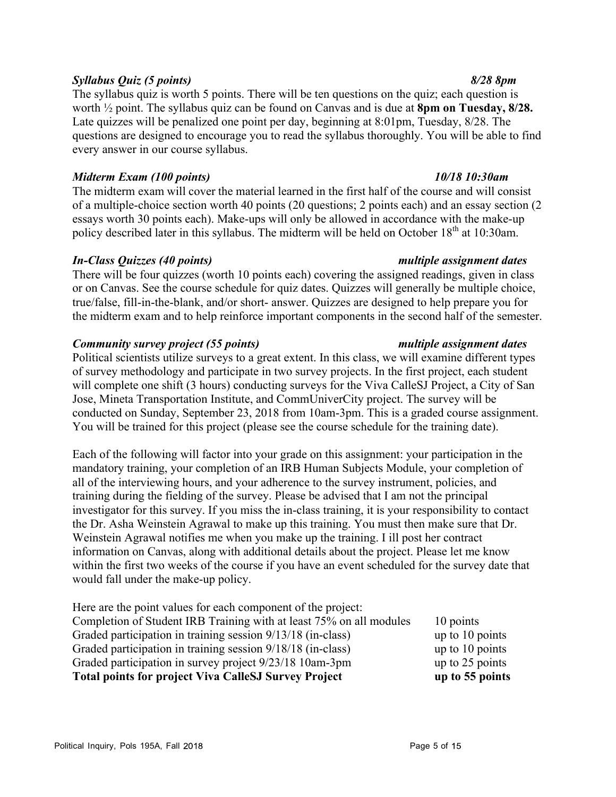### Political Inquiry, Pols 195A, Fall 2018 **Fig. 1988** and Table 1988 and Page 5 of 15

### *Syllabus Quiz (5 points) 8/28 8pm*

The syllabus quiz is worth 5 points. There will be ten questions on the quiz; each question is worth ½ point. The syllabus quiz can be found on Canvas and is due at **8pm on Tuesday, 8/28.**  Late quizzes will be penalized one point per day, beginning at 8:01pm, Tuesday, 8/28. The questions are designed to encourage you to read the syllabus thoroughly. You will be able to find every answer in our course syllabus.

### *Midterm Exam (100 points) 10/18 10:30am*

The midterm exam will cover the material learned in the first half of the course and will consist of a multiple-choice section worth 40 points (20 questions; 2 points each) and an essay section (2 essays worth 30 points each). Make-ups will only be allowed in accordance with the make-up policy described later in this syllabus. The midterm will be held on October 18<sup>th</sup> at 10:30am.

### *In-Class Quizzes (40 points) multiple assignment dates*

There will be four quizzes (worth 10 points each) covering the assigned readings, given in class or on Canvas. See the course schedule for quiz dates. Quizzes will generally be multiple choice, true/false, fill-in-the-blank, and/or short- answer. Quizzes are designed to help prepare you for the midterm exam and to help reinforce important components in the second half of the semester.

### *Community survey project (55 points) multiple assignment dates*

Political scientists utilize surveys to a great extent. In this class, we will examine different types of survey methodology and participate in two survey projects. In the first project, each student will complete one shift (3 hours) conducting surveys for the Viva CalleSJ Project, a City of San Jose, Mineta Transportation Institute, and CommUniverCity project. The survey will be conducted on Sunday, September 23, 2018 from 10am-3pm. This is a graded course assignment. You will be trained for this project (please see the course schedule for the training date).

Each of the following will factor into your grade on this assignment: your participation in the mandatory training, your completion of an IRB Human Subjects Module, your completion of all of the interviewing hours, and your adherence to the survey instrument, policies, and training during the fielding of the survey. Please be advised that I am not the principal investigator for this survey. If you miss the in-class training, it is your responsibility to contact the Dr. Asha Weinstein Agrawal to make up this training. You must then make sure that Dr. Weinstein Agrawal notifies me when you make up the training. I ill post her contract information on Canvas, along with additional details about the project. Please let me know within the first two weeks of the course if you have an event scheduled for the survey date that would fall under the make-up policy.

| <b>Total points for project Viva CalleSJ Survey Project</b>         | up to 55 points   |
|---------------------------------------------------------------------|-------------------|
| Graded participation in survey project 9/23/18 10am-3pm             | up to $25$ points |
| Graded participation in training session 9/18/18 (in-class)         | up to $10$ points |
| Graded participation in training session 9/13/18 (in-class)         | up to $10$ points |
| Completion of Student IRB Training with at least 75% on all modules | 10 points         |
| Here are the point values for each component of the project:        |                   |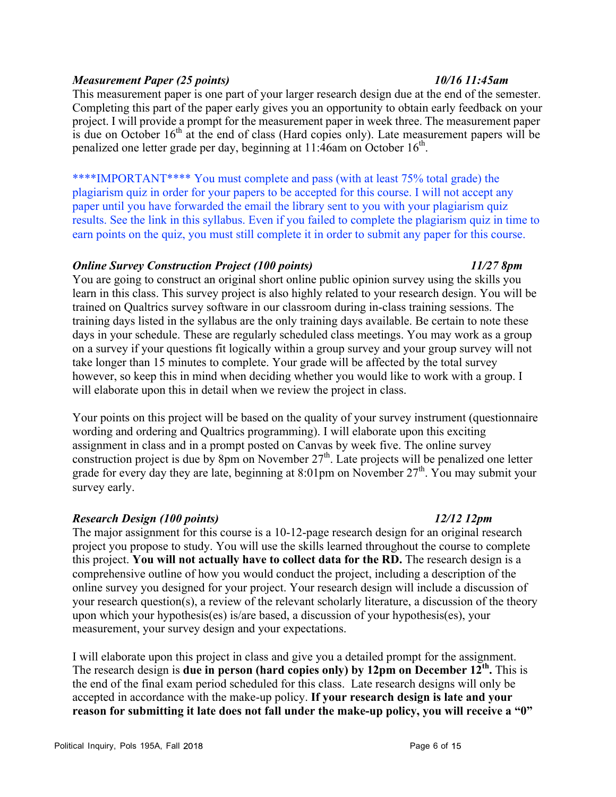### *Measurement Paper (25 points) 10/16 11:45am*

This measurement paper is one part of your larger research design due at the end of the semester. Completing this part of the paper early gives you an opportunity to obtain early feedback on your project. I will provide a prompt for the measurement paper in week three. The measurement paper is due on October  $16<sup>th</sup>$  at the end of class (Hard copies only). Late measurement papers will be penalized one letter grade per day, beginning at 11:46am on October 16<sup>th</sup>.

\*\*\*\*IMPORTANT\*\*\*\* You must complete and pass (with at least 75% total grade) the plagiarism quiz in order for your papers to be accepted for this course. I will not accept any paper until you have forwarded the email the library sent to you with your plagiarism quiz results. See the link in this syllabus. Even if you failed to complete the plagiarism quiz in time to earn points on the quiz, you must still complete it in order to submit any paper for this course.

### *Online Survey Construction Project (100 points) 11/27 8pm*

You are going to construct an original short online public opinion survey using the skills you learn in this class. This survey project is also highly related to your research design. You will be trained on Qualtrics survey software in our classroom during in-class training sessions. The training days listed in the syllabus are the only training days available. Be certain to note these days in your schedule. These are regularly scheduled class meetings. You may work as a group on a survey if your questions fit logically within a group survey and your group survey will not take longer than 15 minutes to complete. Your grade will be affected by the total survey however, so keep this in mind when deciding whether you would like to work with a group. I will elaborate upon this in detail when we review the project in class.

Your points on this project will be based on the quality of your survey instrument (questionnaire wording and ordering and Qualtrics programming). I will elaborate upon this exciting assignment in class and in a prompt posted on Canvas by week five. The online survey construction project is due by 8pm on November  $27<sup>th</sup>$ . Late projects will be penalized one letter grade for every day they are late, beginning at 8:01pm on November  $27<sup>th</sup>$ . You may submit your survey early.

### *Research Design (100 points) 12/12 12pm*

The major assignment for this course is a 10-12-page research design for an original research project you propose to study. You will use the skills learned throughout the course to complete this project. **You will not actually have to collect data for the RD.** The research design is a comprehensive outline of how you would conduct the project, including a description of the online survey you designed for your project. Your research design will include a discussion of your research question(s), a review of the relevant scholarly literature, a discussion of the theory upon which your hypothesis(es) is/are based, a discussion of your hypothesis(es), your measurement, your survey design and your expectations.

I will elaborate upon this project in class and give you a detailed prompt for the assignment. The research design is **due in person (hard copies only) by 12pm on December 12th.** This is the end of the final exam period scheduled for this class. Late research designs will only be accepted in accordance with the make-up policy. **If your research design is late and your reason for submitting it late does not fall under the make-up policy, you will receive a "0"** 

### Political Inquiry, Pols 195A, Fall 2018 and the control of the control of the Page 6 of 15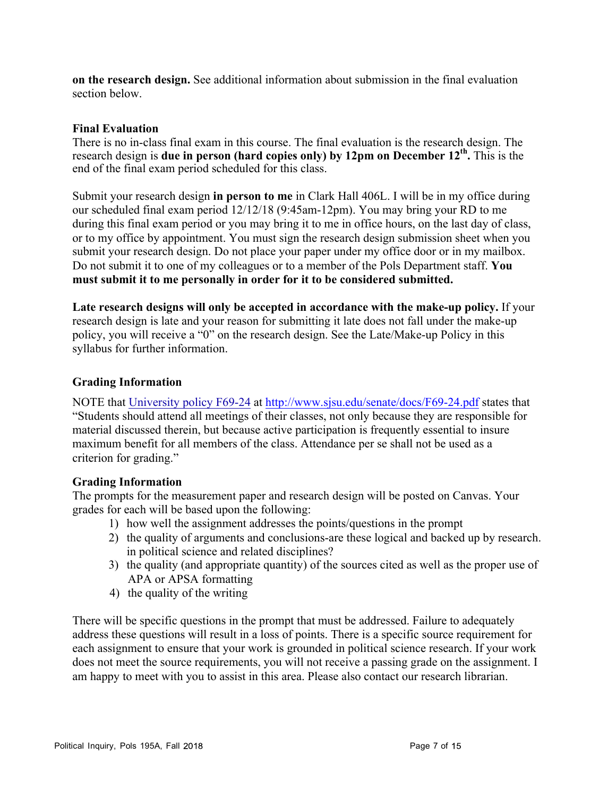**on the research design.** See additional information about submission in the final evaluation section below.

### **Final Evaluation**

There is no in-class final exam in this course. The final evaluation is the research design. The research design is **due in person (hard copies only) by 12pm on December 12th.** This is the end of the final exam period scheduled for this class.

Submit your research design **in person to me** in Clark Hall 406L. I will be in my office during our scheduled final exam period 12/12/18 (9:45am-12pm). You may bring your RD to me during this final exam period or you may bring it to me in office hours, on the last day of class, or to my office by appointment. You must sign the research design submission sheet when you submit your research design. Do not place your paper under my office door or in my mailbox. Do not submit it to one of my colleagues or to a member of the Pols Department staff. **You must submit it to me personally in order for it to be considered submitted.**

**Late research designs will only be accepted in accordance with the make-up policy.** If your research design is late and your reason for submitting it late does not fall under the make-up policy, you will receive a "0" on the research design. See the Late/Make-up Policy in this syllabus for further information.

### **Grading Information**

NOTE that University policy F69-24 at http://www.sjsu.edu/senate/docs/F69-24.pdf states that "Students should attend all meetings of their classes, not only because they are responsible for material discussed therein, but because active participation is frequently essential to insure maximum benefit for all members of the class. Attendance per se shall not be used as a criterion for grading."

### **Grading Information**

The prompts for the measurement paper and research design will be posted on Canvas. Your grades for each will be based upon the following:

- 1) how well the assignment addresses the points/questions in the prompt
- 2) the quality of arguments and conclusions-are these logical and backed up by research. in political science and related disciplines?
- 3) the quality (and appropriate quantity) of the sources cited as well as the proper use of APA or APSA formatting
- 4) the quality of the writing

There will be specific questions in the prompt that must be addressed. Failure to adequately address these questions will result in a loss of points. There is a specific source requirement for each assignment to ensure that your work is grounded in political science research. If your work does not meet the source requirements, you will not receive a passing grade on the assignment. I am happy to meet with you to assist in this area. Please also contact our research librarian.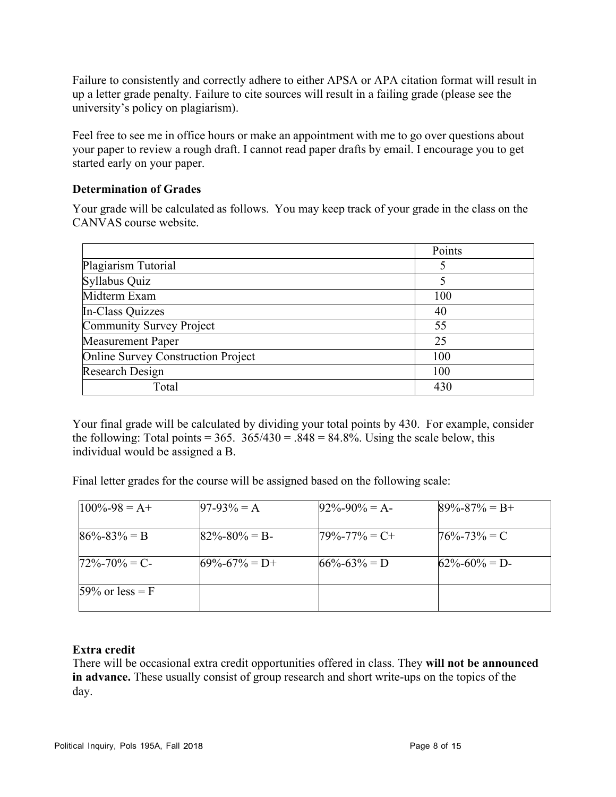Failure to consistently and correctly adhere to either APSA or APA citation format will result in up a letter grade penalty. Failure to cite sources will result in a failing grade (please see the university's policy on plagiarism).

Feel free to see me in office hours or make an appointment with me to go over questions about your paper to review a rough draft. I cannot read paper drafts by email. I encourage you to get started early on your paper.

### **Determination of Grades**

Your grade will be calculated as follows. You may keep track of your grade in the class on the CANVAS course website.

|                                           | Points |
|-------------------------------------------|--------|
| Plagiarism Tutorial                       |        |
| Syllabus Quiz                             |        |
| Midterm Exam                              | 100    |
| In-Class Quizzes                          | 40     |
| Community Survey Project                  | 55     |
| <b>Measurement Paper</b>                  | 25     |
| <b>Online Survey Construction Project</b> | 100    |
| <b>Research Design</b>                    | 100    |
| Total                                     | 430    |

Your final grade will be calculated by dividing your total points by 430. For example, consider the following: Total points =  $365$ .  $365/430 = 0.848 = 84.8\%$ . Using the scale below, this individual would be assigned a B.

Final letter grades for the course will be assigned based on the following scale:

| $100\% - 98 = A +$ | $97-93\% = A$       | $92\% - 90\% = A$   | $89\% - 87\% = B +$ |
|--------------------|---------------------|---------------------|---------------------|
| $86\% - 83\% = B$  | $82\% - 80\% = B$   | $79\% - 77\% = C +$ | $76\% - 73\% = C$   |
| $72\% - 70\% = C$  | $69\% - 67\% = D +$ | $66\% - 63\% = D$   | $62\% - 60\% = D$   |
| $59\%$ or less = F |                     |                     |                     |

### **Extra credit**

There will be occasional extra credit opportunities offered in class. They **will not be announced in advance.** These usually consist of group research and short write-ups on the topics of the day.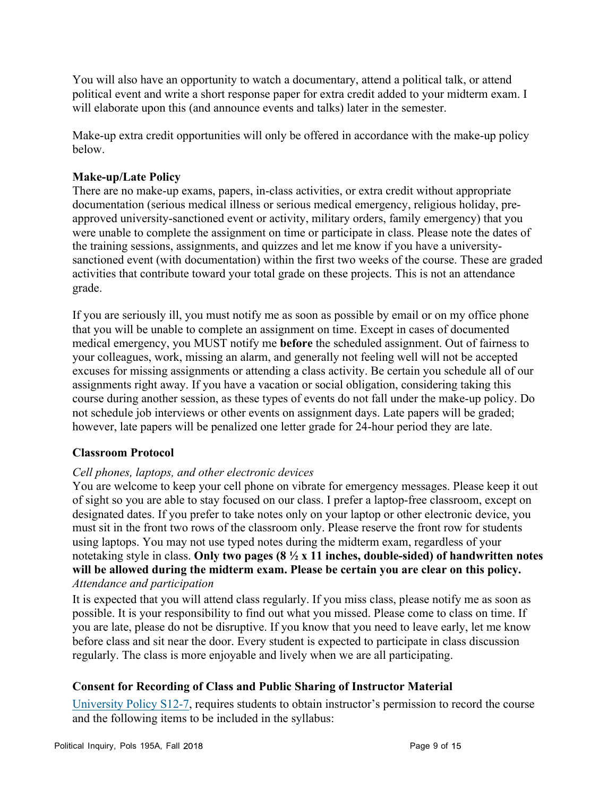You will also have an opportunity to watch a documentary, attend a political talk, or attend political event and write a short response paper for extra credit added to your midterm exam. I will elaborate upon this (and announce events and talks) later in the semester.

Make-up extra credit opportunities will only be offered in accordance with the make-up policy below.

### **Make-up/Late Policy**

There are no make-up exams, papers, in-class activities, or extra credit without appropriate documentation (serious medical illness or serious medical emergency, religious holiday, preapproved university-sanctioned event or activity, military orders, family emergency) that you were unable to complete the assignment on time or participate in class. Please note the dates of the training sessions, assignments, and quizzes and let me know if you have a universitysanctioned event (with documentation) within the first two weeks of the course. These are graded activities that contribute toward your total grade on these projects. This is not an attendance grade.

If you are seriously ill, you must notify me as soon as possible by email or on my office phone that you will be unable to complete an assignment on time. Except in cases of documented medical emergency, you MUST notify me **before** the scheduled assignment. Out of fairness to your colleagues, work, missing an alarm, and generally not feeling well will not be accepted excuses for missing assignments or attending a class activity. Be certain you schedule all of our assignments right away. If you have a vacation or social obligation, considering taking this course during another session, as these types of events do not fall under the make-up policy. Do not schedule job interviews or other events on assignment days. Late papers will be graded; however, late papers will be penalized one letter grade for 24-hour period they are late.

### **Classroom Protocol**

### *Cell phones, laptops, and other electronic devices*

You are welcome to keep your cell phone on vibrate for emergency messages. Please keep it out of sight so you are able to stay focused on our class. I prefer a laptop-free classroom, except on designated dates. If you prefer to take notes only on your laptop or other electronic device, you must sit in the front two rows of the classroom only. Please reserve the front row for students using laptops. You may not use typed notes during the midterm exam, regardless of your notetaking style in class. **Only two pages (8 ½ x 11 inches, double-sided) of handwritten notes will be allowed during the midterm exam. Please be certain you are clear on this policy.** *Attendance and participation*

It is expected that you will attend class regularly. If you miss class, please notify me as soon as possible. It is your responsibility to find out what you missed. Please come to class on time. If you are late, please do not be disruptive. If you know that you need to leave early, let me know before class and sit near the door. Every student is expected to participate in class discussion regularly. The class is more enjoyable and lively when we are all participating.

### **Consent for Recording of Class and Public Sharing of Instructor Material**

University Policy S12-7, requires students to obtain instructor's permission to record the course and the following items to be included in the syllabus: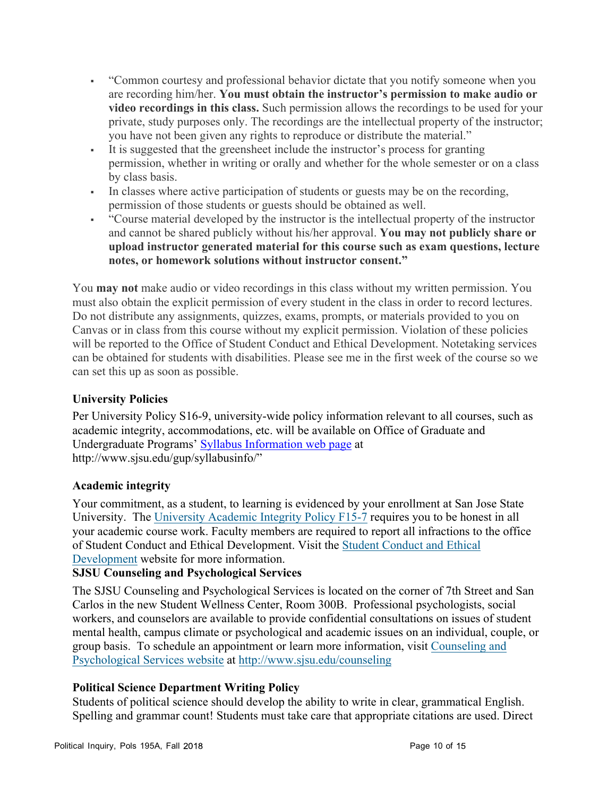- "Common courtesy and professional behavior dictate that you notify someone when you are recording him/her. **You must obtain the instructor's permission to make audio or video recordings in this class.** Such permission allows the recordings to be used for your private, study purposes only. The recordings are the intellectual property of the instructor; you have not been given any rights to reproduce or distribute the material."
- § It is suggested that the greensheet include the instructor's process for granting permission, whether in writing or orally and whether for the whole semester or on a class by class basis.
- § In classes where active participation of students or guests may be on the recording, permission of those students or guests should be obtained as well.
- § "Course material developed by the instructor is the intellectual property of the instructor and cannot be shared publicly without his/her approval. **You may not publicly share or upload instructor generated material for this course such as exam questions, lecture notes, or homework solutions without instructor consent."**

You **may not** make audio or video recordings in this class without my written permission. You must also obtain the explicit permission of every student in the class in order to record lectures. Do not distribute any assignments, quizzes, exams, prompts, or materials provided to you on Canvas or in class from this course without my explicit permission. Violation of these policies will be reported to the Office of Student Conduct and Ethical Development. Notetaking services can be obtained for students with disabilities. Please see me in the first week of the course so we can set this up as soon as possible.

## **University Policies**

Per University Policy S16-9, university-wide policy information relevant to all courses, such as academic integrity, accommodations, etc. will be available on Office of Graduate and Undergraduate Programs' Syllabus Information web page at http://www.sjsu.edu/gup/syllabusinfo/"

### **Academic integrity**

Your commitment, as a student, to learning is evidenced by your enrollment at San Jose State University. The University Academic Integrity Policy F15-7 requires you to be honest in all your academic course work. Faculty members are required to report all infractions to the office of Student Conduct and Ethical Development. Visit the Student Conduct and Ethical Development website for more information.

### **SJSU Counseling and Psychological Services**

The SJSU Counseling and Psychological Services is located on the corner of 7th Street and San Carlos in the new Student Wellness Center, Room 300B. Professional psychologists, social workers, and counselors are available to provide confidential consultations on issues of student mental health, campus climate or psychological and academic issues on an individual, couple, or group basis. To schedule an appointment or learn more information, visit Counseling and Psychological Services website at http://www.sjsu.edu/counseling

### **Political Science Department Writing Policy**

Students of political science should develop the ability to write in clear, grammatical English. Spelling and grammar count! Students must take care that appropriate citations are used. Direct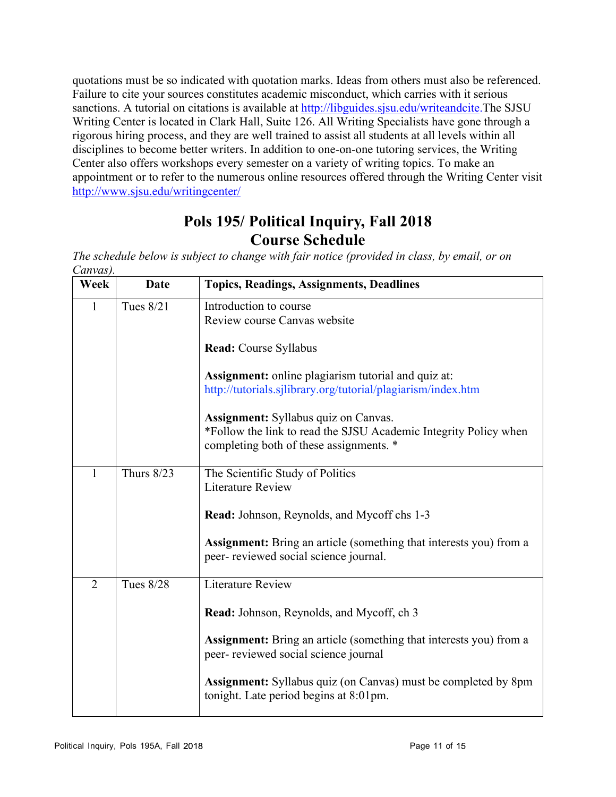quotations must be so indicated with quotation marks. Ideas from others must also be referenced. Failure to cite your sources constitutes academic misconduct, which carries with it serious sanctions. A tutorial on citations is available at http://libguides.sjsu.edu/writeandcite.The SJSU Writing Center is located in Clark Hall, Suite 126. All Writing Specialists have gone through a rigorous hiring process, and they are well trained to assist all students at all levels within all disciplines to become better writers. In addition to one-on-one tutoring services, the Writing Center also offers workshops every semester on a variety of writing topics. To make an appointment or to refer to the numerous online resources offered through the Writing Center visit http://www.sjsu.edu/writingcenter/

# **Pols 195/ Political Inquiry, Fall 2018 Course Schedule**

*The schedule below is subject to change with fair notice (provided in class, by email, or on Canvas).* 

| Week           | Date              | <b>Topics, Readings, Assignments, Deadlines</b>                                                                 |
|----------------|-------------------|-----------------------------------------------------------------------------------------------------------------|
| $\mathbf{1}$   | Tues 8/21         | Introduction to course                                                                                          |
|                |                   | Review course Canvas website                                                                                    |
|                |                   | Read: Course Syllabus                                                                                           |
|                |                   | <b>Assignment:</b> online plagiarism tutorial and quiz at:                                                      |
|                |                   | http://tutorials.sjlibrary.org/tutorial/plagiarism/index.htm                                                    |
|                |                   | <b>Assignment:</b> Syllabus quiz on Canvas.                                                                     |
|                |                   | *Follow the link to read the SJSU Academic Integrity Policy when                                                |
|                |                   | completing both of these assignments. *                                                                         |
| 1              | <b>Thurs 8/23</b> | The Scientific Study of Politics                                                                                |
|                |                   | <b>Literature Review</b>                                                                                        |
|                |                   | <b>Read:</b> Johnson, Reynolds, and Mycoff chs 1-3                                                              |
|                |                   | Assignment: Bring an article (something that interests you) from a                                              |
|                |                   | peer- reviewed social science journal.                                                                          |
| $\overline{2}$ | <b>Tues 8/28</b>  | <b>Literature Review</b>                                                                                        |
|                |                   | Read: Johnson, Reynolds, and Mycoff, ch 3                                                                       |
|                |                   | <b>Assignment:</b> Bring an article (something that interests you) from a                                       |
|                |                   | peer- reviewed social science journal                                                                           |
|                |                   | <b>Assignment:</b> Syllabus quiz (on Canvas) must be completed by 8pm<br>tonight. Late period begins at 8:01pm. |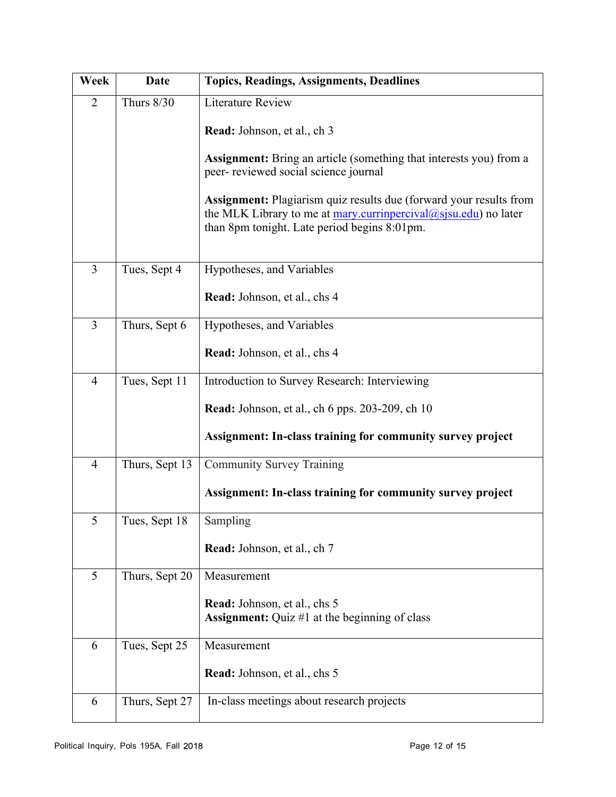| Week           | <b>Date</b>       | <b>Topics, Readings, Assignments, Deadlines</b>                                                                                                                                                    |
|----------------|-------------------|----------------------------------------------------------------------------------------------------------------------------------------------------------------------------------------------------|
| $\overline{2}$ | <b>Thurs 8/30</b> | <b>Literature Review</b>                                                                                                                                                                           |
|                |                   | Read: Johnson, et al., ch 3                                                                                                                                                                        |
|                |                   | <b>Assignment:</b> Bring an article (something that interests you) from a<br>peer- reviewed social science journal                                                                                 |
|                |                   | <b>Assignment:</b> Plagiarism quiz results due (forward your results from<br>the MLK Library to me at mary curringercival $(a)$ sjsu edu) no later<br>than 8pm tonight. Late period begins 8:01pm. |
| $\overline{3}$ | Tues, Sept 4      | Hypotheses, and Variables                                                                                                                                                                          |
|                |                   | <b>Read:</b> Johnson, et al., chs 4                                                                                                                                                                |
| $\overline{3}$ | Thurs, Sept 6     | Hypotheses, and Variables                                                                                                                                                                          |
|                |                   | Read: Johnson, et al., chs 4                                                                                                                                                                       |
| $\overline{4}$ | Tues, Sept 11     | Introduction to Survey Research: Interviewing                                                                                                                                                      |
|                |                   | <b>Read:</b> Johnson, et al., ch 6 pps. 203-209, ch 10                                                                                                                                             |
|                |                   | Assignment: In-class training for community survey project                                                                                                                                         |
| $\overline{4}$ | Thurs, Sept 13    | <b>Community Survey Training</b>                                                                                                                                                                   |
|                |                   | Assignment: In-class training for community survey project                                                                                                                                         |
| 5              | Tues, Sept 18     | Sampling                                                                                                                                                                                           |
|                |                   | Read: Johnson, et al., ch 7                                                                                                                                                                        |
| 5              | Thurs, Sept 20    | Measurement                                                                                                                                                                                        |
|                |                   | <b>Read:</b> Johnson, et al., chs 5<br><b>Assignment:</b> Quiz #1 at the beginning of class                                                                                                        |
| 6              | Tues, Sept 25     | Measurement                                                                                                                                                                                        |
|                |                   | Read: Johnson, et al., chs 5                                                                                                                                                                       |
| 6              | Thurs, Sept 27    | In-class meetings about research projects                                                                                                                                                          |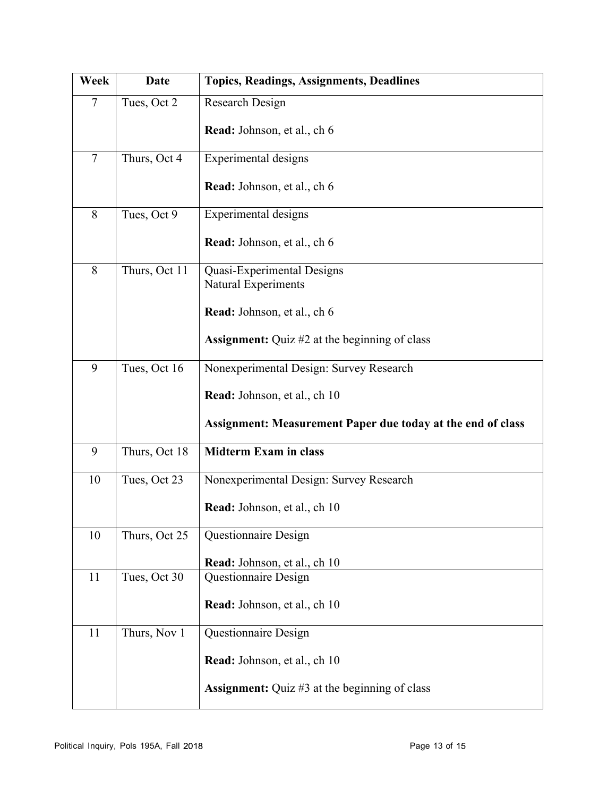| Week           | <b>Date</b>   | <b>Topics, Readings, Assignments, Deadlines</b>             |
|----------------|---------------|-------------------------------------------------------------|
| $\overline{7}$ | Tues, Oct 2   | Research Design                                             |
|                |               | <b>Read:</b> Johnson, et al., ch 6                          |
| $\overline{7}$ | Thurs, Oct 4  | Experimental designs                                        |
|                |               | Read: Johnson, et al., ch 6                                 |
| 8              | Tues, Oct 9   | Experimental designs                                        |
|                |               | Read: Johnson, et al., ch 6                                 |
| 8              | Thurs, Oct 11 | Quasi-Experimental Designs<br>Natural Experiments           |
|                |               |                                                             |
|                |               | Read: Johnson, et al., ch 6                                 |
|                |               | <b>Assignment:</b> Quiz #2 at the beginning of class        |
| 9              | Tues, Oct 16  | Nonexperimental Design: Survey Research                     |
|                |               | Read: Johnson, et al., ch 10                                |
|                |               | Assignment: Measurement Paper due today at the end of class |
| 9              | Thurs, Oct 18 | <b>Midterm Exam in class</b>                                |
| 10             | Tues, Oct 23  | Nonexperimental Design: Survey Research                     |
|                |               | Read: Johnson, et al., ch 10                                |
| 10             | Thurs, Oct 25 | Questionnaire Design                                        |
|                |               | Read: Johnson, et al., ch 10                                |
| 11             | Tues, Oct 30  | Questionnaire Design                                        |
|                |               | Read: Johnson, et al., ch 10                                |
| 11             | Thurs, Nov 1  | Questionnaire Design                                        |
|                |               | Read: Johnson, et al., ch 10                                |
|                |               | <b>Assignment:</b> Quiz #3 at the beginning of class        |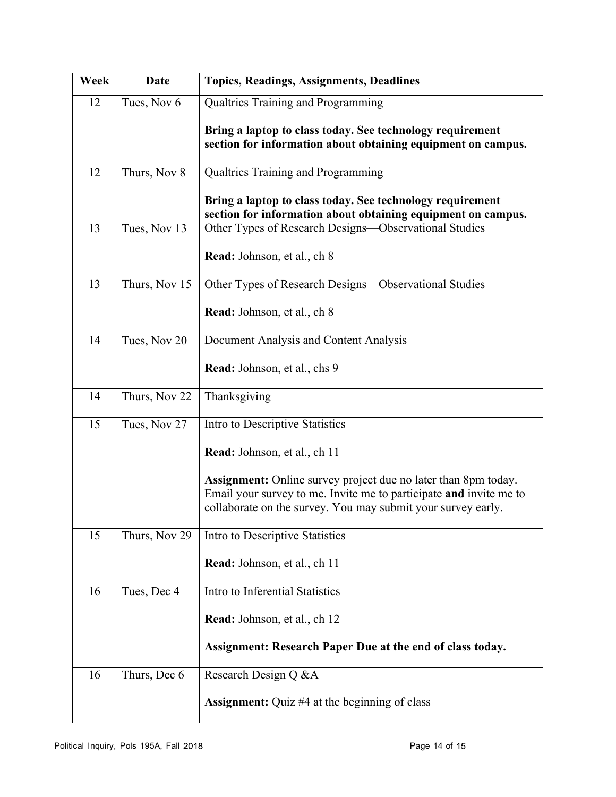| Week | <b>Date</b>   | <b>Topics, Readings, Assignments, Deadlines</b>                                                                                                                                                             |
|------|---------------|-------------------------------------------------------------------------------------------------------------------------------------------------------------------------------------------------------------|
| 12   | Tues, Nov 6   | Qualtrics Training and Programming                                                                                                                                                                          |
|      |               | Bring a laptop to class today. See technology requirement<br>section for information about obtaining equipment on campus.                                                                                   |
| 12   | Thurs, Nov 8  | Qualtrics Training and Programming                                                                                                                                                                          |
|      |               | Bring a laptop to class today. See technology requirement<br>section for information about obtaining equipment on campus.                                                                                   |
| 13   | Tues, Nov 13  | Other Types of Research Designs-Observational Studies                                                                                                                                                       |
|      |               | Read: Johnson, et al., ch 8                                                                                                                                                                                 |
| 13   | Thurs, Nov 15 | Other Types of Research Designs—Observational Studies                                                                                                                                                       |
|      |               | <b>Read:</b> Johnson, et al., ch 8                                                                                                                                                                          |
| 14   | Tues, Nov 20  | Document Analysis and Content Analysis                                                                                                                                                                      |
|      |               | Read: Johnson, et al., chs 9                                                                                                                                                                                |
| 14   | Thurs, Nov 22 | Thanksgiving                                                                                                                                                                                                |
| 15   | Tues, Nov 27  | Intro to Descriptive Statistics                                                                                                                                                                             |
|      |               | Read: Johnson, et al., ch 11                                                                                                                                                                                |
|      |               | <b>Assignment:</b> Online survey project due no later than 8pm today.<br>Email your survey to me. Invite me to participate and invite me to<br>collaborate on the survey. You may submit your survey early. |
| 15   | Thurs, Nov 29 | Intro to Descriptive Statistics                                                                                                                                                                             |
|      |               | Read: Johnson, et al., ch 11                                                                                                                                                                                |
| 16   | Tues, Dec 4   | Intro to Inferential Statistics                                                                                                                                                                             |
|      |               | Read: Johnson, et al., ch 12                                                                                                                                                                                |
|      |               | Assignment: Research Paper Due at the end of class today.                                                                                                                                                   |
| 16   | Thurs, Dec 6  | Research Design Q & A                                                                                                                                                                                       |
|      |               | <b>Assignment:</b> Quiz #4 at the beginning of class                                                                                                                                                        |